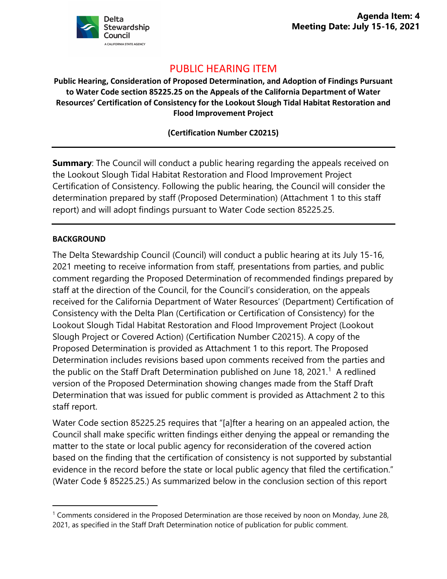

# PUBLIC HEARING ITEM

**Public Hearing, Consideration of Proposed Determination, and Adoption of Findings Pursuant to Water Code section 85225.25 on the Appeals of the California Department of Water Resources' Certification of Consistency for the Lookout Slough Tidal Habitat Restoration and Flood Improvement Project**

**(Certification Number C20215)**

**Summary:** The Council will conduct a public hearing regarding the appeals received on the Lookout Slough Tidal Habitat Restoration and Flood Improvement Project Certification of Consistency. Following the public hearing, the Council will consider the determination prepared by staff (Proposed Determination) (Attachment 1 to this staff report) and will adopt findings pursuant to Water Code section 85225.25.

### **BACKGROUND**

The Delta Stewardship Council (Council) will conduct a public hearing at its July 15-16, 2021 meeting to receive information from staff, presentations from parties, and public comment regarding the Proposed Determination of recommended findings prepared by staff at the direction of the Council, for the Council's consideration, on the appeals received for the California Department of Water Resources' (Department) Certification of Consistency with the Delta Plan (Certification or Certification of Consistency) for the Lookout Slough Tidal Habitat Restoration and Flood Improvement Project (Lookout Slough Project or Covered Action) (Certification Number C20215). A copy of the Proposed Determination is provided as Attachment 1 to this report. The Proposed Determination includes revisions based upon comments received from the parties and the public on the Staff Draft Determination published on June [1](#page-0-0)8, 2021.<sup>1</sup> A redlined version of the Proposed Determination showing changes made from the Staff Draft Determination that was issued for public comment is provided as Attachment 2 to this staff report.

Water Code section 85225.25 requires that "[a]fter a hearing on an appealed action, the Council shall make specific written findings either denying the appeal or remanding the matter to the state or local public agency for reconsideration of the covered action based on the finding that the certification of consistency is not supported by substantial evidence in the record before the state or local public agency that filed the certification." (Water Code § 85225.25.) As summarized below in the conclusion section of this report

<span id="page-0-0"></span><sup>&</sup>lt;sup>1</sup> Comments considered in the Proposed Determination are those received by noon on Monday, June 28, 2021, as specified in the Staff Draft Determination notice of publication for public comment.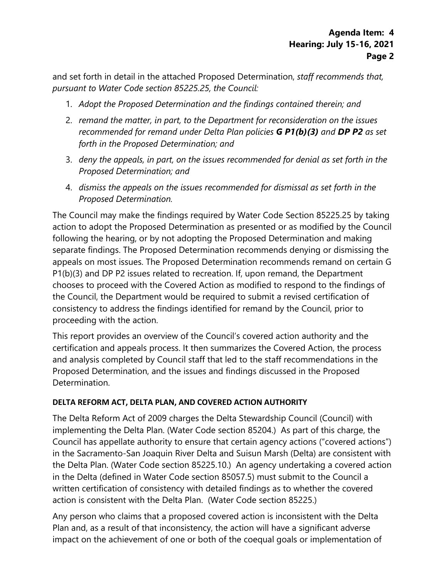and set forth in detail in the attached Proposed Determination, *staff recommends that, pursuant to Water Code section 85225.25, the Council:*

- 1. *Adopt the Proposed Determination and the findings contained therein; and*
- 2. *remand the matter, in part, to the Department for reconsideration on the issues recommended for remand under Delta Plan policies G P1(b)(3) and DP P2 as set forth in the Proposed Determination; and*
- 3. *deny the appeals, in part, on the issues recommended for denial as set forth in the Proposed Determination; and*
- 4. *dismiss the appeals on the issues recommended for dismissal as set forth in the Proposed Determination.*

The Council may make the findings required by Water Code Section 85225.25 by taking action to adopt the Proposed Determination as presented or as modified by the Council following the hearing, or by not adopting the Proposed Determination and making separate findings. The Proposed Determination recommends denying or dismissing the appeals on most issues. The Proposed Determination recommends remand on certain G P1(b)(3) and DP P2 issues related to recreation. If, upon remand, the Department chooses to proceed with the Covered Action as modified to respond to the findings of the Council, the Department would be required to submit a revised certification of consistency to address the findings identified for remand by the Council, prior to proceeding with the action.

This report provides an overview of the Council's covered action authority and the certification and appeals process. It then summarizes the Covered Action, the process and analysis completed by Council staff that led to the staff recommendations in the Proposed Determination, and the issues and findings discussed in the Proposed Determination.

### **DELTA REFORM ACT, DELTA PLAN, AND COVERED ACTION AUTHORITY**

The Delta Reform Act of 2009 charges the Delta Stewardship Council (Council) with implementing the Delta Plan. (Water Code section 85204.) As part of this charge, the Council has appellate authority to ensure that certain agency actions ("covered actions") in the Sacramento-San Joaquin River Delta and Suisun Marsh (Delta) are consistent with the Delta Plan. (Water Code section 85225.10.) An agency undertaking a covered action in the Delta (defined in Water Code section 85057.5) must submit to the Council a written certification of consistency with detailed findings as to whether the covered action is consistent with the Delta Plan. (Water Code section 85225.)

Any person who claims that a proposed covered action is inconsistent with the Delta Plan and, as a result of that inconsistency, the action will have a significant adverse impact on the achievement of one or both of the coequal goals or implementation of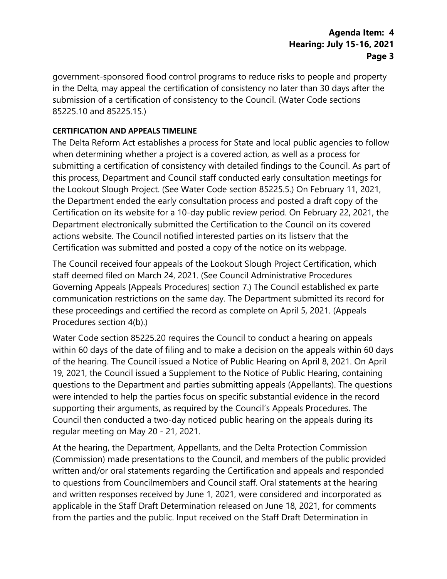government-sponsored flood control programs to reduce risks to people and property in the Delta, may appeal the certification of consistency no later than 30 days after the submission of a certification of consistency to the Council. (Water Code sections 85225.10 and 85225.15.)

### **CERTIFICATION AND APPEALS TIMELINE**

The Delta Reform Act establishes a process for State and local public agencies to follow when determining whether a project is a covered action, as well as a process for submitting a certification of consistency with detailed findings to the Council. As part of this process, Department and Council staff conducted early consultation meetings for the Lookout Slough Project. (See Water Code section 85225.5.) On February 11, 2021, the Department ended the early consultation process and posted a draft copy of the Certification on its website for a 10-day public review period. On February 22, 2021, the Department electronically submitted the Certification to the Council on its covered actions website. The Council notified interested parties on its listserv that the Certification was submitted and posted a copy of the notice on its webpage.

The Council received four appeals of the Lookout Slough Project Certification, which staff deemed filed on March 24, 2021. (See Council Administrative Procedures Governing Appeals [Appeals Procedures] section 7.) The Council established ex parte communication restrictions on the same day. The Department submitted its record for these proceedings and certified the record as complete on April 5, 2021. (Appeals Procedures section 4(b).)

Water Code section 85225.20 requires the Council to conduct a hearing on appeals within 60 days of the date of filing and to make a decision on the appeals within 60 days of the hearing. The Council issued a Notice of Public Hearing on April 8, 2021. On April 19, 2021, the Council issued a Supplement to the Notice of Public Hearing, containing questions to the Department and parties submitting appeals (Appellants). The questions were intended to help the parties focus on specific substantial evidence in the record supporting their arguments, as required by the Council's Appeals Procedures. The Council then conducted a two-day noticed public hearing on the appeals during its regular meeting on May 20 - 21, 2021.

At the hearing, the Department, Appellants, and the Delta Protection Commission (Commission) made presentations to the Council, and members of the public provided written and/or oral statements regarding the Certification and appeals and responded to questions from Councilmembers and Council staff. Oral statements at the hearing and written responses received by June 1, 2021, were considered and incorporated as applicable in the Staff Draft Determination released on June 18, 2021, for comments from the parties and the public. Input received on the Staff Draft Determination in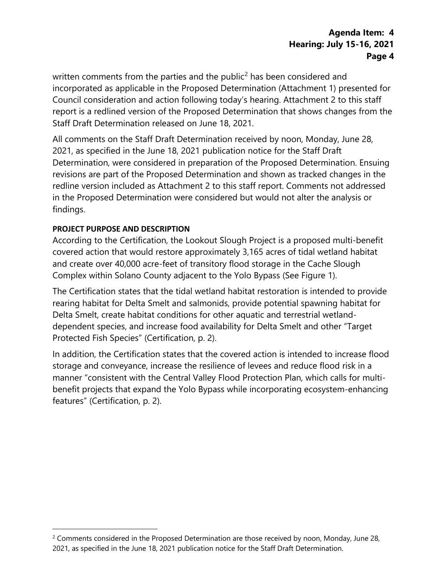written comments from the parties and the public<sup>[2](#page-3-0)</sup> has been considered and incorporated as applicable in the Proposed Determination (Attachment 1) presented for Council consideration and action following today's hearing. Attachment 2 to this staff report is a redlined version of the Proposed Determination that shows changes from the Staff Draft Determination released on June 18, 2021.

All comments on the Staff Draft Determination received by noon, Monday, June 28, 2021, as specified in the June 18, 2021 publication notice for the Staff Draft Determination, were considered in preparation of the Proposed Determination. Ensuing revisions are part of the Proposed Determination and shown as tracked changes in the redline version included as Attachment 2 to this staff report. Comments not addressed in the Proposed Determination were considered but would not alter the analysis or findings.

### **PROJECT PURPOSE AND DESCRIPTION**

According to the Certification, the Lookout Slough Project is a proposed multi-benefit covered action that would restore approximately 3,165 acres of tidal wetland habitat and create over 40,000 acre-feet of transitory flood storage in the Cache Slough Complex within Solano County adjacent to the Yolo Bypass (See Figure 1).

The Certification states that the tidal wetland habitat restoration is intended to provide rearing habitat for Delta Smelt and salmonids, provide potential spawning habitat for Delta Smelt, create habitat conditions for other aquatic and terrestrial wetlanddependent species, and increase food availability for Delta Smelt and other "Target Protected Fish Species" (Certification, p. 2).

In addition, the Certification states that the covered action is intended to increase flood storage and conveyance, increase the resilience of levees and reduce flood risk in a manner "consistent with the Central Valley Flood Protection Plan, which calls for multibenefit projects that expand the Yolo Bypass while incorporating ecosystem-enhancing features" (Certification, p. 2).

<span id="page-3-0"></span> $2$  Comments considered in the Proposed Determination are those received by noon, Monday, June 28, 2021, as specified in the June 18, 2021 publication notice for the Staff Draft Determination.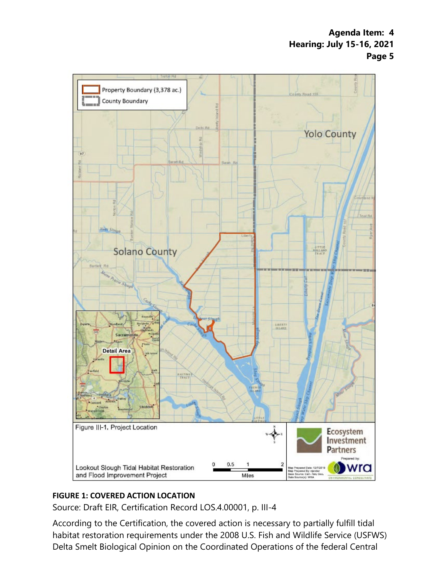

### **FIGURE 1: COVERED ACTION LOCATION**

Source: Draft EIR, Certification Record LOS.4.00001, p. III-4

According to the Certification, the covered action is necessary to partially fulfill tidal habitat restoration requirements under the 2008 U.S. Fish and Wildlife Service (USFWS) Delta Smelt Biological Opinion on the Coordinated Operations of the federal Central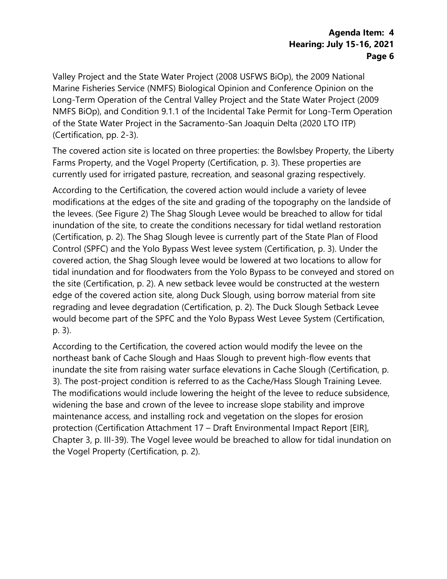Valley Project and the State Water Project (2008 USFWS BiOp), the 2009 National Marine Fisheries Service (NMFS) Biological Opinion and Conference Opinion on the Long-Term Operation of the Central Valley Project and the State Water Project (2009 NMFS BiOp), and Condition 9.1.1 of the Incidental Take Permit for Long-Term Operation of the State Water Project in the Sacramento-San Joaquin Delta (2020 LTO ITP) (Certification, pp. 2-3).

The covered action site is located on three properties: the Bowlsbey Property, the Liberty Farms Property, and the Vogel Property (Certification, p. 3). These properties are currently used for irrigated pasture, recreation, and seasonal grazing respectively.

According to the Certification, the covered action would include a variety of levee modifications at the edges of the site and grading of the topography on the landside of the levees. (See Figure 2) The Shag Slough Levee would be breached to allow for tidal inundation of the site, to create the conditions necessary for tidal wetland restoration (Certification, p. 2). The Shag Slough levee is currently part of the State Plan of Flood Control (SPFC) and the Yolo Bypass West levee system (Certification, p. 3). Under the covered action, the Shag Slough levee would be lowered at two locations to allow for tidal inundation and for floodwaters from the Yolo Bypass to be conveyed and stored on the site (Certification, p. 2). A new setback levee would be constructed at the western edge of the covered action site, along Duck Slough, using borrow material from site regrading and levee degradation (Certification, p. 2). The Duck Slough Setback Levee would become part of the SPFC and the Yolo Bypass West Levee System (Certification, p. 3).

According to the Certification, the covered action would modify the levee on the northeast bank of Cache Slough and Haas Slough to prevent high-flow events that inundate the site from raising water surface elevations in Cache Slough (Certification, p. 3). The post-project condition is referred to as the Cache/Hass Slough Training Levee. The modifications would include lowering the height of the levee to reduce subsidence, widening the base and crown of the levee to increase slope stability and improve maintenance access, and installing rock and vegetation on the slopes for erosion protection (Certification Attachment 17 – Draft Environmental Impact Report [EIR], Chapter 3, p. III-39). The Vogel levee would be breached to allow for tidal inundation on the Vogel Property (Certification, p. 2).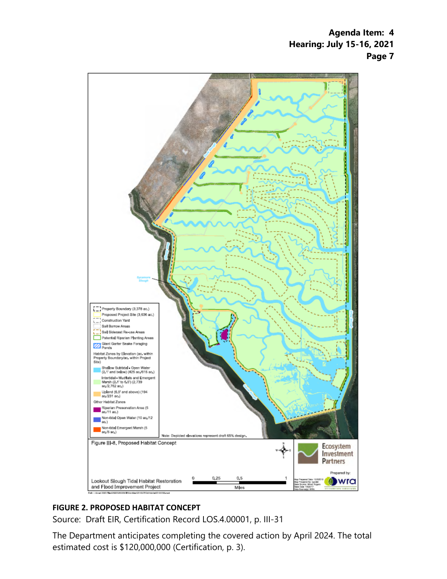

### **FIGURE 2. PROPOSED HABITAT CONCEPT**

Source: [Draft EIR, Certification Record LOS.4.00001,](https://coveredactions.deltacouncil.ca.gov/services/download.ashx?u=ea88d3d9-bf11-4036-b046-0d3cf3a37be4) p. III-31

The Department anticipates completing the covered action by April 2024. The total estimated cost is \$120,000,000 (Certification, p. 3).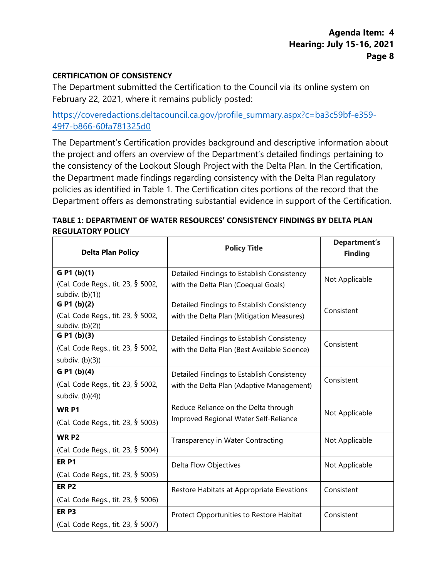#### **CERTIFICATION OF CONSISTENCY**

The Department submitted the Certification to the Council via its online system on February 22, 2021, where it remains publicly posted:

# [https://coveredactions.deltacouncil.ca.gov/profile\\_summary.aspx?c=ba3c59bf-e359-](https://coveredactions.deltacouncil.ca.gov/profile_summary.aspx?c=ba3c59bf-e359-49f7-b866-60fa781325d0) [49f7-b866-60fa781325d0](https://coveredactions.deltacouncil.ca.gov/profile_summary.aspx?c=ba3c59bf-e359-49f7-b866-60fa781325d0)

The Department's Certification provides background and descriptive information about the project and offers an overview of the Department's detailed findings pertaining to the consistency of the Lookout Slough Project with the Delta Plan. In the Certification, the Department made findings regarding consistency with the Delta Plan regulatory policies as identified in Table 1. The Certification cites portions of the record that the Department offers as demonstrating substantial evidence in support of the Certification.

### **TABLE 1: DEPARTMENT OF WATER RESOURCES' CONSISTENCY FINDINGS BY DELTA PLAN REGULATORY POLICY**

| <b>Delta Plan Policy</b>                               | <b>Policy Title</b>                          | <b>Department's</b><br><b>Finding</b> |  |
|--------------------------------------------------------|----------------------------------------------|---------------------------------------|--|
| G P1 (b)(1)                                            | Detailed Findings to Establish Consistency   | Not Applicable                        |  |
| (Cal. Code Regs., tit. 23, § 5002,<br>subdiv. $(b)(1)$ | with the Delta Plan (Coequal Goals)          |                                       |  |
| G P1 (b)(2)                                            | Detailed Findings to Establish Consistency   | Consistent                            |  |
| (Cal. Code Regs., tit. 23, § 5002,<br>subdiv. $(b)(2)$ | with the Delta Plan (Mitigation Measures)    |                                       |  |
| G P1 (b)(3)                                            | Detailed Findings to Establish Consistency   |                                       |  |
| (Cal. Code Regs., tit. 23, § 5002,                     | with the Delta Plan (Best Available Science) | Consistent                            |  |
| subdiv. $(b)(3)$                                       |                                              |                                       |  |
| G P1 (b)(4)                                            | Detailed Findings to Establish Consistency   |                                       |  |
| (Cal. Code Regs., tit. 23, § 5002,                     | with the Delta Plan (Adaptive Management)    | Consistent                            |  |
| subdiv. $(b)(4)$                                       |                                              |                                       |  |
| WR <sub>P1</sub>                                       | Reduce Reliance on the Delta through         | Not Applicable                        |  |
| (Cal. Code Regs., tit. 23, § 5003)                     | Improved Regional Water Self-Reliance        |                                       |  |
| WR P <sub>2</sub>                                      | Transparency in Water Contracting            | Not Applicable                        |  |
| (Cal. Code Regs., tit. 23, § 5004)                     |                                              |                                       |  |
| <b>ER P1</b>                                           | Delta Flow Objectives                        | Not Applicable                        |  |
| (Cal. Code Regs., tit. 23, § 5005)                     |                                              |                                       |  |
| ER <sub>P2</sub>                                       | Restore Habitats at Appropriate Elevations   | Consistent                            |  |
| (Cal. Code Regs., tit. 23, § 5006)                     |                                              |                                       |  |
| ER <sub>P3</sub>                                       | Protect Opportunities to Restore Habitat     | Consistent                            |  |
| (Cal. Code Regs., tit. 23, § 5007)                     |                                              |                                       |  |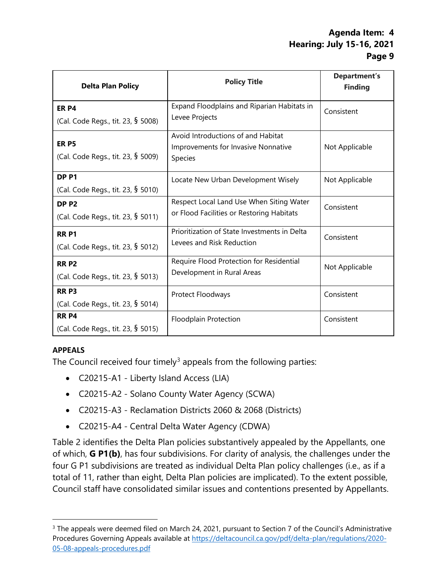| <b>Delta Plan Policy</b>           | <b>Policy Title</b>                          | <b>Department's</b><br><b>Finding</b> |  |
|------------------------------------|----------------------------------------------|---------------------------------------|--|
| <b>ER P4</b>                       | Expand Floodplains and Riparian Habitats in  | Consistent                            |  |
| (Cal. Code Regs., tit. 23, § 5008) | Levee Projects                               |                                       |  |
| <b>ER P5</b>                       | Avoid Introductions of and Habitat           |                                       |  |
|                                    | Improvements for Invasive Nonnative          | Not Applicable                        |  |
| (Cal. Code Regs., tit. 23, § 5009) | Species                                      |                                       |  |
| DP <sub>P1</sub>                   | Locate New Urban Development Wisely          | Not Applicable                        |  |
| (Cal. Code Regs., tit. 23, § 5010) |                                              |                                       |  |
| DP <sub>P2</sub>                   | Respect Local Land Use When Siting Water     | Consistent                            |  |
| (Cal. Code Regs., tit. 23, § 5011) | or Flood Facilities or Restoring Habitats    |                                       |  |
| <b>RRP1</b>                        | Prioritization of State Investments in Delta | Consistent                            |  |
| (Cal. Code Regs., tit. 23, § 5012) | Levees and Risk Reduction                    |                                       |  |
| <b>RRP2</b>                        | Require Flood Protection for Residential     | Not Applicable                        |  |
| (Cal. Code Regs., tit. 23, § 5013) | Development in Rural Areas                   |                                       |  |
| <b>RRP3</b>                        | Protect Floodways                            | Consistent                            |  |
| (Cal. Code Regs., tit. 23, § 5014) |                                              |                                       |  |
| <b>RR P4</b>                       | <b>Floodplain Protection</b>                 | Consistent                            |  |
| (Cal. Code Regs., tit. 23, § 5015) |                                              |                                       |  |

### **APPEALS**

The Council received four timely<sup>[3](#page-8-0)</sup> appeals from the following parties:

- C20215-A1 Liberty Island Access (LIA)
- C20215-A2 Solano County Water Agency (SCWA)
- C20215-A3 Reclamation Districts 2060 & 2068 (Districts)
- C20215-A4 Central Delta Water Agency (CDWA)

Table 2 identifies the Delta Plan policies substantively appealed by the Appellants, one of which, **G P1(b)**, has four subdivisions. For clarity of analysis, the challenges under the four G P1 subdivisions are treated as individual Delta Plan policy challenges (i.e., as if a total of 11, rather than eight, Delta Plan policies are implicated). To the extent possible, Council staff have consolidated similar issues and contentions presented by Appellants.

<span id="page-8-0"></span><sup>&</sup>lt;sup>3</sup> The appeals were deemed filed on March 24, 2021, pursuant to Section 7 of the Council's Administrative Procedures Governing Appeals available at [https://deltacouncil.ca.gov/pdf/delta-plan/regulations/2020-](https://deltacouncil.ca.gov/pdf/delta-plan/regulations/2020-05-08-appeals-procedures.pdf) [05-08-appeals-procedures.pdf](https://deltacouncil.ca.gov/pdf/delta-plan/regulations/2020-05-08-appeals-procedures.pdf)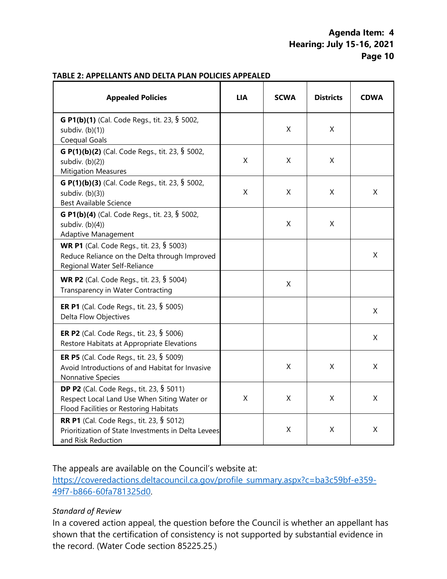#### **TABLE 2: APPELLANTS AND DELTA PLAN POLICIES APPEALED**

| <b>Appealed Policies</b>                                                                                                                 | <b>LIA</b>  | <b>SCWA</b> | <b>Districts</b> | <b>CDWA</b> |
|------------------------------------------------------------------------------------------------------------------------------------------|-------------|-------------|------------------|-------------|
| G P1(b)(1) (Cal. Code Regs., tit. 23, § 5002,<br>subdiv. $(b)(1)$<br>Coequal Goals                                                       |             | X           | X                |             |
| G P(1)(b)(2) (Cal. Code Regs., tit. 23, § 5002,<br>subdiv. (b)(2))<br><b>Mitigation Measures</b>                                         | X           | X           | X                |             |
| G P(1)(b)(3) (Cal. Code Regs., tit. 23, § 5002,<br>subdiv. $(b)(3)$<br><b>Best Available Science</b>                                     | Χ           | X           | X                | X           |
| G P1(b)(4) (Cal. Code Regs., tit. 23, § 5002,<br>subdiv. $(b)(4)$<br><b>Adaptive Management</b>                                          |             | X           | X                |             |
| <b>WR P1</b> (Cal. Code Regs., tit. 23, § 5003)<br>Reduce Reliance on the Delta through Improved<br>Regional Water Self-Reliance         |             |             |                  | X           |
| <b>WR P2</b> (Cal. Code Regs., tit. 23, § 5004)<br>Transparency in Water Contracting                                                     |             | X           |                  |             |
| <b>ER P1</b> (Cal. Code Regs., tit. 23, § 5005)<br>Delta Flow Objectives                                                                 |             |             |                  | X           |
| ER P2 (Cal. Code Regs., tit. 23, § 5006)<br>Restore Habitats at Appropriate Elevations                                                   |             |             |                  | X           |
| <b>ER P5</b> (Cal. Code Regs., tit. 23, § 5009)<br>Avoid Introductions of and Habitat for Invasive<br>Nonnative Species                  |             | $\mathsf X$ | X                | X           |
| <b>DP P2</b> (Cal. Code Regs., tit. 23, § 5011)<br>Respect Local Land Use When Siting Water or<br>Flood Facilities or Restoring Habitats | $\mathsf X$ | X           | X                | X           |
| <b>RR P1</b> (Cal. Code Regs., tit. 23, § 5012)<br>Prioritization of State Investments in Delta Levees<br>and Risk Reduction             |             | X           | X                | X           |

The appeals are available on the Council's website at:

[https://coveredactions.deltacouncil.ca.gov/profile\\_summary.aspx?c=ba3c59bf-e359-](https://coveredactions.deltacouncil.ca.gov/profile_summary.aspx?c=ba3c59bf-e359-49f7-b866-60fa781325d0) [49f7-b866-60fa781325d0.](https://coveredactions.deltacouncil.ca.gov/profile_summary.aspx?c=ba3c59bf-e359-49f7-b866-60fa781325d0) 

#### *Standard of Review*

In a covered action appeal, the question before the Council is whether an appellant has shown that the certification of consistency is not supported by substantial evidence in the record. (Water Code section 85225.25.)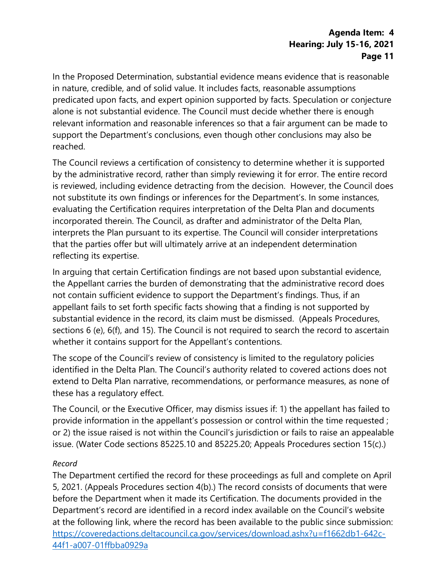In the Proposed Determination, substantial evidence means evidence that is reasonable in nature, credible, and of solid value. It includes facts, reasonable assumptions predicated upon facts, and expert opinion supported by facts. Speculation or conjecture alone is not substantial evidence. The Council must decide whether there is enough relevant information and reasonable inferences so that a fair argument can be made to support the Department's conclusions, even though other conclusions may also be reached.

The Council reviews a certification of consistency to determine whether it is supported by the administrative record, rather than simply reviewing it for error. The entire record is reviewed, including evidence detracting from the decision. However, the Council does not substitute its own findings or inferences for the Department's. In some instances, evaluating the Certification requires interpretation of the Delta Plan and documents incorporated therein. The Council, as drafter and administrator of the Delta Plan, interprets the Plan pursuant to its expertise. The Council will consider interpretations that the parties offer but will ultimately arrive at an independent determination reflecting its expertise.

In arguing that certain Certification findings are not based upon substantial evidence, the Appellant carries the burden of demonstrating that the administrative record does not contain sufficient evidence to support the Department's findings. Thus, if an appellant fails to set forth specific facts showing that a finding is not supported by substantial evidence in the record, its claim must be dismissed. (Appeals Procedures, sections 6 (e), 6(f), and 15). The Council is not required to search the record to ascertain whether it contains support for the Appellant's contentions.

The scope of the Council's review of consistency is limited to the regulatory policies identified in the Delta Plan. The Council's authority related to covered actions does not extend to Delta Plan narrative, recommendations, or performance measures, as none of these has a regulatory effect.

The Council, or the Executive Officer, may dismiss issues if: 1) the appellant has failed to provide information in the appellant's possession or control within the time requested ; or 2) the issue raised is not within the Council's jurisdiction or fails to raise an appealable issue. (Water Code sections 85225.10 and 85225.20; Appeals Procedures section 15(c).)

### *Record*

The Department certified the record for these proceedings as full and complete on April 5, 2021. (Appeals Procedures section 4(b).) The record consists of documents that were before the Department when it made its Certification. The documents provided in the Department's record are identified in a record index available on the Council's website at the following link, where the record has been available to the public since submission: [https://coveredactions.deltacouncil.ca.gov/services/download.ashx?u=f1662db1-642c-](https://coveredactions.deltacouncil.ca.gov/services/download.ashx?u=f1662db1-642c-44f1-a007-01ffbba0929a)[44f1-a007-01ffbba0929a](https://coveredactions.deltacouncil.ca.gov/services/download.ashx?u=f1662db1-642c-44f1-a007-01ffbba0929a)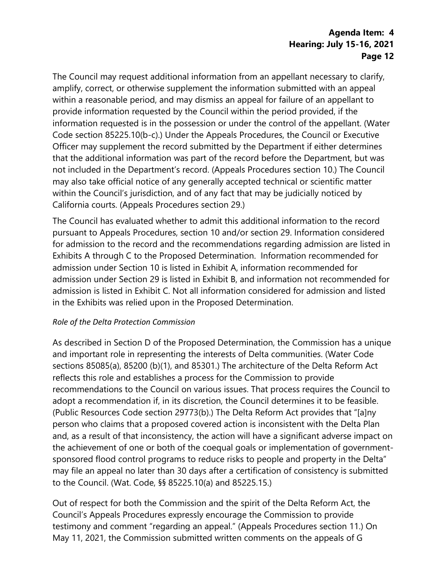The Council may request additional information from an appellant necessary to clarify, amplify, correct, or otherwise supplement the information submitted with an appeal within a reasonable period, and may dismiss an appeal for failure of an appellant to provide information requested by the Council within the period provided, if the information requested is in the possession or under the control of the appellant. (Water Code section 85225.10(b-c).) Under the Appeals Procedures, the Council or Executive Officer may supplement the record submitted by the Department if either determines that the additional information was part of the record before the Department, but was not included in the Department's record. (Appeals Procedures section 10.) The Council may also take official notice of any generally accepted technical or scientific matter within the Council's jurisdiction, and of any fact that may be judicially noticed by California courts. (Appeals Procedures section 29.)

The Council has evaluated whether to admit this additional information to the record pursuant to Appeals Procedures, section 10 and/or section 29. Information considered for admission to the record and the recommendations regarding admission are listed in Exhibits A through C to the Proposed Determination. Information recommended for admission under Section 10 is listed in Exhibit A, information recommended for admission under Section 29 is listed in Exhibit B, and information not recommended for admission is listed in Exhibit C. Not all information considered for admission and listed in the Exhibits was relied upon in the Proposed Determination.

### *Role of the Delta Protection Commission*

As described in Section D of the Proposed Determination, the Commission has a unique and important role in representing the interests of Delta communities. (Water Code sections 85085(a), 85200 (b)(1), and 85301.) The architecture of the Delta Reform Act reflects this role and establishes a process for the Commission to provide recommendations to the Council on various issues. That process requires the Council to adopt a recommendation if, in its discretion, the Council determines it to be feasible. (Public Resources Code section 29773(b).) The Delta Reform Act provides that "[a]ny person who claims that a proposed covered action is inconsistent with the Delta Plan and, as a result of that inconsistency, the action will have a significant adverse impact on the achievement of one or both of the coequal goals or implementation of governmentsponsored flood control programs to reduce risks to people and property in the Delta" may file an appeal no later than 30 days after a certification of consistency is submitted to the Council. (Wat. Code, §§ 85225.10(a) and 85225.15.)

Out of respect for both the Commission and the spirit of the Delta Reform Act, the Council's Appeals Procedures expressly encourage the Commission to provide testimony and comment "regarding an appeal." (Appeals Procedures section 11.) On May 11, 2021, the Commission submitted written comments on the appeals of G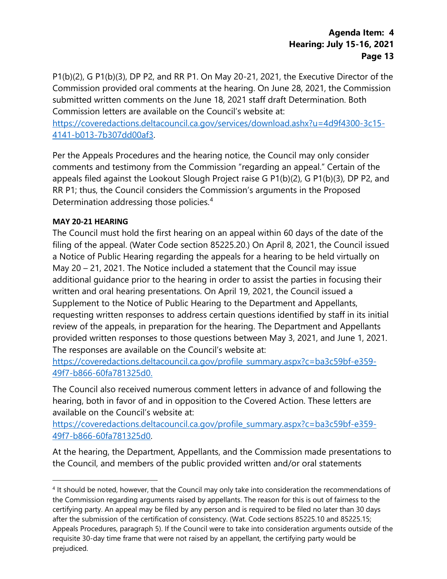P1(b)(2), G P1(b)(3), DP P2, and RR P1. On May 20-21, 2021, the Executive Director of the Commission provided oral comments at the hearing. On June 28, 2021, the Commission submitted written comments on the June 18, 2021 staff draft Determination. Both Commission letters are available on the Council's website at:

[https://coveredactions.deltacouncil.ca.gov/services/download.ashx?u=4d9f4300-3c15-](https://coveredactions.deltacouncil.ca.gov/services/download.ashx?u=4d9f4300-3c15-4141-b013-7b307dd00af3) [4141-b013-7b307dd00af3.](https://coveredactions.deltacouncil.ca.gov/services/download.ashx?u=4d9f4300-3c15-4141-b013-7b307dd00af3) 

Per the Appeals Procedures and the hearing notice, the Council may only consider comments and testimony from the Commission "regarding an appeal." Certain of the appeals filed against the Lookout Slough Project raise G P1(b)(2), G P1(b)(3), DP P2, and RR P1; thus, the Council considers the Commission's arguments in the Proposed Determination addressing those policies. [4](#page-12-0)

### **MAY 20-21 HEARING**

The Council must hold the first hearing on an appeal within 60 days of the date of the filing of the appeal. (Water Code section 85225.20.) On April 8, 2021, the Council issued a Notice of Public Hearing regarding the appeals for a hearing to be held virtually on May 20 – 21, 2021. The Notice included a statement that the Council may issue additional guidance prior to the hearing in order to assist the parties in focusing their written and oral hearing presentations. On April 19, 2021, the Council issued a Supplement to the Notice of Public Hearing to the Department and Appellants, requesting written responses to address certain questions identified by staff in its initial review of the appeals, in preparation for the hearing. The Department and Appellants provided written responses to those questions between May 3, 2021, and June 1, 2021. The responses are available on the Council's website at:

[https://coveredactions.deltacouncil.ca.gov/profile\\_summary.aspx?c=ba3c59bf-e359-](https://coveredactions.deltacouncil.ca.gov/profile_summary.aspx?c=ba3c59bf-e359-49f7-b866-60fa781325d0.%20) [49f7-b866-60fa781325d0.](https://coveredactions.deltacouncil.ca.gov/profile_summary.aspx?c=ba3c59bf-e359-49f7-b866-60fa781325d0.%20) 

The Council also received numerous comment letters in advance of and following the hearing, both in favor of and in opposition to the Covered Action. These letters are available on the Council's website at:

[https://coveredactions.deltacouncil.ca.gov/profile\\_summary.aspx?c=ba3c59bf-e359-](https://coveredactions.deltacouncil.ca.gov/profile_summary.aspx?c=ba3c59bf-e359-49f7-b866-60fa781325d0) [49f7-b866-60fa781325d0.](https://coveredactions.deltacouncil.ca.gov/profile_summary.aspx?c=ba3c59bf-e359-49f7-b866-60fa781325d0) 

At the hearing, the Department, Appellants, and the Commission made presentations to the Council, and members of the public provided written and/or oral statements

<span id="page-12-0"></span><sup>4</sup> It should be noted, however, that the Council may only take into consideration the recommendations of the Commission regarding arguments raised by appellants. The reason for this is out of fairness to the certifying party. An appeal may be filed by any person and is required to be filed no later than 30 days after the submission of the certification of consistency. (Wat. Code sections 85225.10 and 85225.15; Appeals Procedures, paragraph 5). If the Council were to take into consideration arguments outside of the requisite 30-day time frame that were not raised by an appellant, the certifying party would be prejudiced.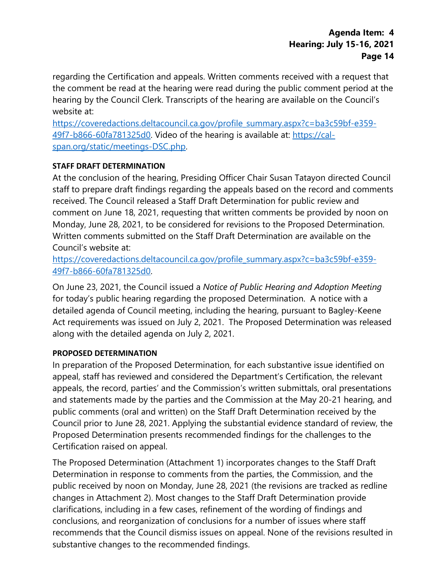regarding the Certification and appeals. Written comments received with a request that the comment be read at the hearing were read during the public comment period at the hearing by the Council Clerk. Transcripts of the hearing are available on the Council's website at:

[https://coveredactions.deltacouncil.ca.gov/profile\\_summary.aspx?c=ba3c59bf-e359-](https://coveredactions.deltacouncil.ca.gov/profile_summary.aspx?c=ba3c59bf-e359-49f7-b866-60fa781325d0) [49f7-b866-60fa781325d0.](https://coveredactions.deltacouncil.ca.gov/profile_summary.aspx?c=ba3c59bf-e359-49f7-b866-60fa781325d0) Video of the hearing is available at: [https://cal](https://cal-span.org/static/meetings-DSC.php)[span.org/static/meetings-DSC.php.](https://cal-span.org/static/meetings-DSC.php) 

### **STAFF DRAFT DETERMINATION**

At the conclusion of the hearing, Presiding Officer Chair Susan Tatayon directed Council staff to prepare draft findings regarding the appeals based on the record and comments received. The Council released a Staff Draft Determination for public review and comment on June 18, 2021, requesting that written comments be provided by noon on Monday, June 28, 2021, to be considered for revisions to the Proposed Determination. Written comments submitted on the Staff Draft Determination are available on the Council's website at:

[https://coveredactions.deltacouncil.ca.gov/profile\\_summary.aspx?c=ba3c59bf-e359-](https://coveredactions.deltacouncil.ca.gov/profile_summary.aspx?c=ba3c59bf-e359-49f7-b866-60fa781325d0) [49f7-b866-60fa781325d0.](https://coveredactions.deltacouncil.ca.gov/profile_summary.aspx?c=ba3c59bf-e359-49f7-b866-60fa781325d0) 

On June 23, 2021, the Council issued a *Notice of Public Hearing and Adoption Meeting* for today's public hearing regarding the proposed Determination. A notice with a detailed agenda of Council meeting, including the hearing, pursuant to Bagley-Keene Act requirements was issued on July 2, 2021. The Proposed Determination was released along with the detailed agenda on July 2, 2021.

#### **PROPOSED DETERMINATION**

In preparation of the Proposed Determination, for each substantive issue identified on appeal, staff has reviewed and considered the Department's Certification, the relevant appeals, the record, parties' and the Commission's written submittals, oral presentations and statements made by the parties and the Commission at the May 20-21 hearing, and public comments (oral and written) on the Staff Draft Determination received by the Council prior to June 28, 2021. Applying the substantial evidence standard of review, the Proposed Determination presents recommended findings for the challenges to the Certification raised on appeal.

The Proposed Determination (Attachment 1) incorporates changes to the Staff Draft Determination in response to comments from the parties, the Commission, and the public received by noon on Monday, June 28, 2021 (the revisions are tracked as redline changes in Attachment 2). Most changes to the Staff Draft Determination provide clarifications, including in a few cases, refinement of the wording of findings and conclusions, and reorganization of conclusions for a number of issues where staff recommends that the Council dismiss issues on appeal. None of the revisions resulted in substantive changes to the recommended findings.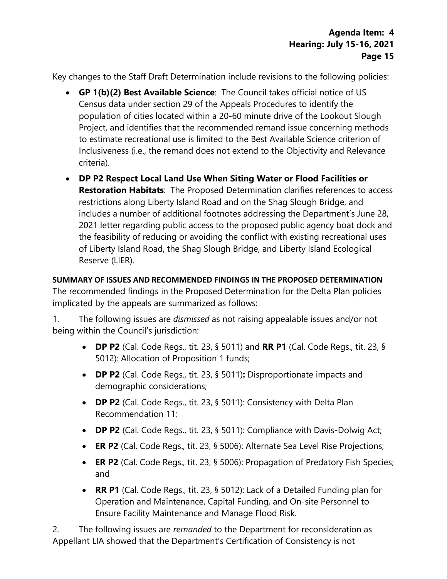Key changes to the Staff Draft Determination include revisions to the following policies:

- **GP 1(b)(2) Best Available Science**: The Council takes official notice of US Census data under section 29 of the Appeals Procedures to identify the population of cities located within a 20-60 minute drive of the Lookout Slough Project, and identifies that the recommended remand issue concerning methods to estimate recreational use is limited to the Best Available Science criterion of Inclusiveness (i.e., the remand does not extend to the Objectivity and Relevance criteria).
- **DP P2 Respect Local Land Use When Siting Water or Flood Facilities or Restoration Habitats**: The Proposed Determination clarifies references to access restrictions along Liberty Island Road and on the Shag Slough Bridge, and includes a number of additional footnotes addressing the Department's June 28, 2021 letter regarding public access to the proposed public agency boat dock and the feasibility of reducing or avoiding the conflict with existing recreational uses of Liberty Island Road, the Shag Slough Bridge, and Liberty Island Ecological Reserve (LIER).

# **SUMMARY OF ISSUES AND RECOMMENDED FINDINGS IN THE PROPOSED DETERMINATION**

The recommended findings in the Proposed Determination for the Delta Plan policies implicated by the appeals are summarized as follows:

1. The following issues are *dismissed* as not raising appealable issues and/or not being within the Council's jurisdiction:

- **DP P2** (Cal. Code Regs., tit. 23, § 5011) and **RR P1** (Cal. Code Regs., tit. 23, § 5012): Allocation of Proposition 1 funds;
- **DP P2** (Cal. Code Regs., tit. 23, § 5011)**:** Disproportionate impacts and demographic considerations;
- **DP P2** (Cal. Code Regs., tit. 23, § 5011): Consistency with Delta Plan Recommendation 11;
- **DP P2** (Cal. Code Regs., tit. 23, § 5011): Compliance with Davis-Dolwig Act;
- **ER P2** (Cal. Code Regs., tit. 23, § 5006): Alternate Sea Level Rise Projections;
- **ER P2** (Cal. Code Regs., tit. 23, § 5006): Propagation of Predatory Fish Species; and
- **RR P1** (Cal. Code Regs., tit. 23, § 5012): Lack of a Detailed Funding plan for Operation and Maintenance, Capital Funding, and On-site Personnel to Ensure Facility Maintenance and Manage Flood Risk.

2. The following issues are *remanded* to the Department for reconsideration as Appellant LIA showed that the Department's Certification of Consistency is not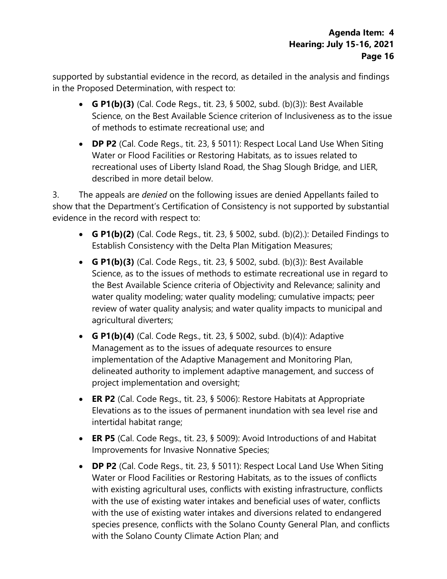supported by substantial evidence in the record, as detailed in the analysis and findings in the Proposed Determination, with respect to:

- **G P1(b)(3)** (Cal. Code Regs., tit. 23, § 5002, subd. (b)(3)): Best Available Science, on the Best Available Science criterion of Inclusiveness as to the issue of methods to estimate recreational use; and
- **DP P2** (Cal. Code Regs., tit. 23, § 5011): Respect Local Land Use When Siting Water or Flood Facilities or Restoring Habitats, as to issues related to recreational uses of Liberty Island Road, the Shag Slough Bridge, and LIER, described in more detail below.

3. The appeals are *denied* on the following issues are denied Appellants failed to show that the Department's Certification of Consistency is not supported by substantial evidence in the record with respect to:

- **G P1(b)(2)** (Cal. Code Regs., tit. 23, § 5002, subd. (b)(2).): Detailed Findings to Establish Consistency with the Delta Plan Mitigation Measures;
- **G P1(b)(3)** (Cal. Code Regs., tit. 23, § 5002, subd. (b)(3)): Best Available Science, as to the issues of methods to estimate recreational use in regard to the Best Available Science criteria of Objectivity and Relevance; salinity and water quality modeling; water quality modeling; cumulative impacts; peer review of water quality analysis; and water quality impacts to municipal and agricultural diverters;
- **G P1(b)(4)** (Cal. Code Regs., tit. 23, § 5002, subd. (b)(4)): Adaptive Management as to the issues of adequate resources to ensure implementation of the Adaptive Management and Monitoring Plan, delineated authority to implement adaptive management, and success of project implementation and oversight;
- **ER P2** (Cal. Code Regs., tit. 23, § 5006): Restore Habitats at Appropriate Elevations as to the issues of permanent inundation with sea level rise and intertidal habitat range;
- **ER P5** (Cal. Code Regs., tit. 23, § 5009): Avoid Introductions of and Habitat Improvements for Invasive Nonnative Species;
- **DP P2** (Cal. Code Regs., tit. 23, § 5011): Respect Local Land Use When Siting Water or Flood Facilities or Restoring Habitats, as to the issues of conflicts with existing agricultural uses, conflicts with existing infrastructure, conflicts with the use of existing water intakes and beneficial uses of water, conflicts with the use of existing water intakes and diversions related to endangered species presence, conflicts with the Solano County General Plan, and conflicts with the Solano County Climate Action Plan; and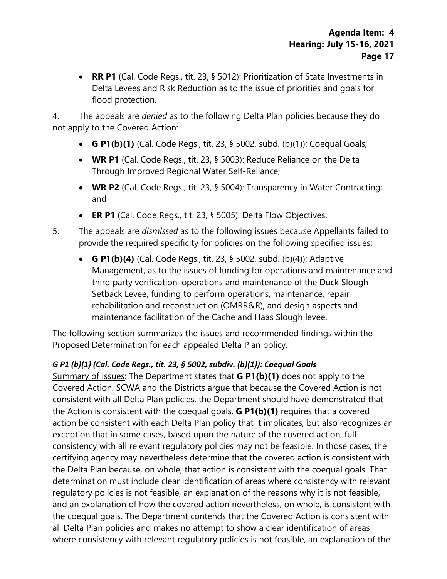• **RR P1** (Cal. Code Regs., tit. 23, § 5012): Prioritization of State Investments in Delta Levees and Risk Reduction as to the issue of priorities and goals for flood protection.

4. The appeals are *denied* as to the following Delta Plan policies because they do not apply to the Covered Action:

- **G P1(b)(1)** (Cal. Code Regs., tit. 23, § 5002, subd. (b)(1)): Coequal Goals;
- **WR P1** (Cal. Code Regs., tit. 23, § 5003): Reduce Reliance on the Delta Through Improved Regional Water Self-Reliance;
- **WR P2** (Cal. Code Regs., tit. 23, § 5004): Transparency in Water Contracting; and
- **ER P1** (Cal. Code Regs., tit. 23, § 5005): Delta Flow Objectives.
- 5. The appeals are *dismissed* as to the following issues because Appellants failed to provide the required specificity for policies on the following specified issues:
	- **G P1(b)(4)** (Cal. Code Regs., tit. 23, § 5002, subd. (b)(4)): Adaptive Management, as to the issues of funding for operations and maintenance and third party verification, operations and maintenance of the Duck Slough Setback Levee, funding to perform operations, maintenance, repair, rehabilitation and reconstruction (OMRR&R), and design aspects and maintenance facilitation of the Cache and Haas Slough levee.

The following section summarizes the issues and recommended findings within the Proposed Determination for each appealed Delta Plan policy.

# *G P1 (b)(1) (Cal. Code Regs., tit. 23, § 5002, subdiv. (b)(1)): Coequal Goals*

Summary of Issues: The Department states that **G P1(b)(1)** does not apply to the Covered Action. SCWA and the Districts argue that because the Covered Action is not consistent with all Delta Plan policies, the Department should have demonstrated that the Action is consistent with the coequal goals. **G P1(b)(1)** requires that a covered action be consistent with each Delta Plan policy that it implicates, but also recognizes an exception that in some cases, based upon the nature of the covered action, full consistency with all relevant regulatory policies may not be feasible. In those cases, the certifying agency may nevertheless determine that the covered action is consistent with the Delta Plan because, on whole, that action is consistent with the coequal goals. That determination must include clear identification of areas where consistency with relevant regulatory policies is not feasible, an explanation of the reasons why it is not feasible, and an explanation of how the covered action nevertheless, on whole, is consistent with the coequal goals. The Department contends that the Covered Action is consistent with all Delta Plan policies and makes no attempt to show a clear identification of areas where consistency with relevant regulatory policies is not feasible, an explanation of the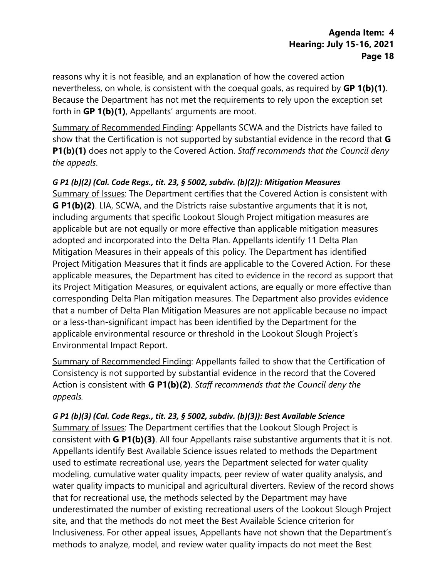reasons why it is not feasible, and an explanation of how the covered action nevertheless, on whole, is consistent with the coequal goals, as required by **GP 1(b)(1)**. Because the Department has not met the requirements to rely upon the exception set forth in **GP 1(b)(1)**, Appellants' arguments are moot.

Summary of Recommended Finding: Appellants SCWA and the Districts have failed to show that the Certification is not supported by substantial evidence in the record that **G P1(b)(1)** does not apply to the Covered Action. *Staff recommends that the Council deny the appeals*.

### *G P1 (b)(2) (Cal. Code Regs., tit. 23, § 5002, subdiv. (b)(2)): Mitigation Measures*

Summary of Issues: The Department certifies that the Covered Action is consistent with **G P1(b)(2)**. LIA, SCWA, and the Districts raise substantive arguments that it is not, including arguments that specific Lookout Slough Project mitigation measures are applicable but are not equally or more effective than applicable mitigation measures adopted and incorporated into the Delta Plan. Appellants identify 11 Delta Plan Mitigation Measures in their appeals of this policy. The Department has identified Project Mitigation Measures that it finds are applicable to the Covered Action. For these applicable measures, the Department has cited to evidence in the record as support that its Project Mitigation Measures, or equivalent actions, are equally or more effective than corresponding Delta Plan mitigation measures. The Department also provides evidence that a number of Delta Plan Mitigation Measures are not applicable because no impact or a less-than-significant impact has been identified by the Department for the applicable environmental resource or threshold in the Lookout Slough Project's Environmental Impact Report.

Summary of Recommended Finding: Appellants failed to show that the Certification of Consistency is not supported by substantial evidence in the record that the Covered Action is consistent with **G P1(b)(2)**. *Staff recommends that the Council deny the appeals.*

#### *G P1 (b)(3) (Cal. Code Regs., tit. 23, § 5002, subdiv. (b)(3)): Best Available Science*

Summary of Issues: The Department certifies that the Lookout Slough Project is consistent with **G P1(b)(3)**. All four Appellants raise substantive arguments that it is not. Appellants identify Best Available Science issues related to methods the Department used to estimate recreational use, years the Department selected for water quality modeling, cumulative water quality impacts, peer review of water quality analysis, and water quality impacts to municipal and agricultural diverters. Review of the record shows that for recreational use, the methods selected by the Department may have underestimated the number of existing recreational users of the Lookout Slough Project site, and that the methods do not meet the Best Available Science criterion for Inclusiveness. For other appeal issues, Appellants have not shown that the Department's methods to analyze, model, and review water quality impacts do not meet the Best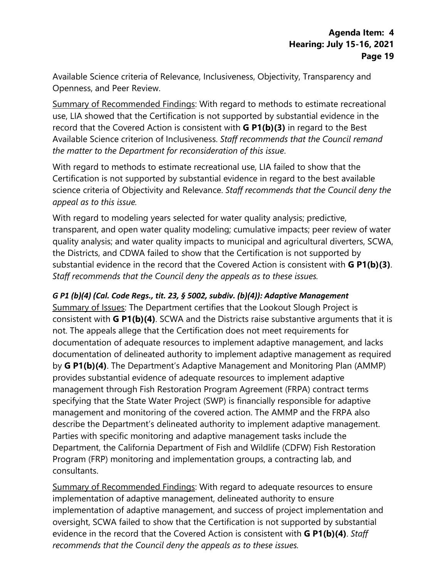Available Science criteria of Relevance, Inclusiveness, Objectivity, Transparency and Openness, and Peer Review.

Summary of Recommended Findings: With regard to methods to estimate recreational use, LIA showed that the Certification is not supported by substantial evidence in the record that the Covered Action is consistent with **G P1(b)(3)** in regard to the Best Available Science criterion of Inclusiveness. *Staff recommends that the Council remand the matter to the Department for reconsideration of this issue*.

With regard to methods to estimate recreational use, LIA failed to show that the Certification is not supported by substantial evidence in regard to the best available science criteria of Objectivity and Relevance. *Staff recommends that the Council deny the appeal as to this issue.*

With regard to modeling years selected for water quality analysis; predictive, transparent, and open water quality modeling; cumulative impacts; peer review of water quality analysis; and water quality impacts to municipal and agricultural diverters, SCWA, the Districts, and CDWA failed to show that the Certification is not supported by substantial evidence in the record that the Covered Action is consistent with **G P1(b)(3)**. *Staff recommends that the Council deny the appeals as to these issues.*

### *G P1 (b)(4) (Cal. Code Regs., tit. 23, § 5002, subdiv. (b)(4)): Adaptive Management*

Summary of Issues: The Department certifies that the Lookout Slough Project is consistent with **G P1(b)(4)**. SCWA and the Districts raise substantive arguments that it is not. The appeals allege that the Certification does not meet requirements for documentation of adequate resources to implement adaptive management, and lacks documentation of delineated authority to implement adaptive management as required by **G P1(b)(4)**. The Department's Adaptive Management and Monitoring Plan (AMMP) provides substantial evidence of adequate resources to implement adaptive management through Fish Restoration Program Agreement (FRPA) contract terms specifying that the State Water Project (SWP) is financially responsible for adaptive management and monitoring of the covered action. The AMMP and the FRPA also describe the Department's delineated authority to implement adaptive management. Parties with specific monitoring and adaptive management tasks include the Department, the California Department of Fish and Wildlife (CDFW) Fish Restoration Program (FRP) monitoring and implementation groups, a contracting lab, and consultants.

Summary of Recommended Findings: With regard to adequate resources to ensure implementation of adaptive management, delineated authority to ensure implementation of adaptive management, and success of project implementation and oversight, SCWA failed to show that the Certification is not supported by substantial evidence in the record that the Covered Action is consistent with **G P1(b)(4)**. *Staff recommends that the Council deny the appeals as to these issues.*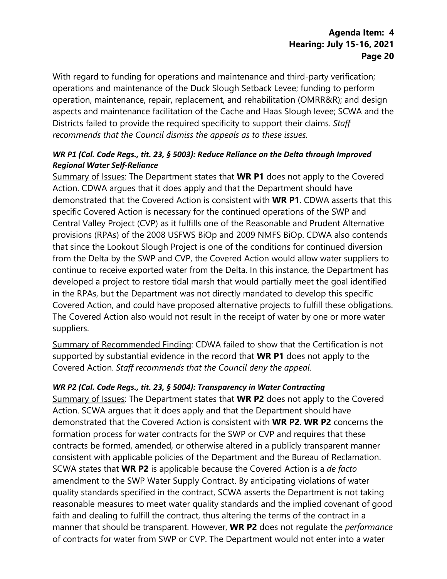With regard to funding for operations and maintenance and third-party verification; operations and maintenance of the Duck Slough Setback Levee; funding to perform operation, maintenance, repair, replacement, and rehabilitation (OMRR&R); and design aspects and maintenance facilitation of the Cache and Haas Slough levee; SCWA and the Districts failed to provide the required specificity to support their claims. *Staff recommends that the Council dismiss the appeals as to these issues.*

### *WR P1 (Cal. Code Regs., tit. 23, § 5003): Reduce Reliance on the Delta through Improved Regional Water Self-Reliance*

Summary of Issues: The Department states that **WR P1** does not apply to the Covered Action. CDWA argues that it does apply and that the Department should have demonstrated that the Covered Action is consistent with **WR P1**. CDWA asserts that this specific Covered Action is necessary for the continued operations of the SWP and Central Valley Project (CVP) as it fulfills one of the Reasonable and Prudent Alternative provisions (RPAs) of the 2008 USFWS BiOp and 2009 NMFS BiOp. CDWA also contends that since the Lookout Slough Project is one of the conditions for continued diversion from the Delta by the SWP and CVP, the Covered Action would allow water suppliers to continue to receive exported water from the Delta. In this instance, the Department has developed a project to restore tidal marsh that would partially meet the goal identified in the RPAs, but the Department was not directly mandated to develop this specific Covered Action, and could have proposed alternative projects to fulfill these obligations. The Covered Action also would not result in the receipt of water by one or more water suppliers.

Summary of Recommended Finding: CDWA failed to show that the Certification is not supported by substantial evidence in the record that **WR P1** does not apply to the Covered Action. *Staff recommends that the Council deny the appeal.*

### *WR P2 (Cal. Code Regs., tit. 23, § 5004): Transparency in Water Contracting*

Summary of Issues: The Department states that **WR P2** does not apply to the Covered Action. SCWA argues that it does apply and that the Department should have demonstrated that the Covered Action is consistent with **WR P2**. **WR P2** concerns the formation process for water contracts for the SWP or CVP and requires that these contracts be formed, amended, or otherwise altered in a publicly transparent manner consistent with applicable policies of the Department and the Bureau of Reclamation. SCWA states that **WR P2** is applicable because the Covered Action is a *de facto* amendment to the SWP Water Supply Contract. By anticipating violations of water quality standards specified in the contract, SCWA asserts the Department is not taking reasonable measures to meet water quality standards and the implied covenant of good faith and dealing to fulfill the contract, thus altering the terms of the contract in a manner that should be transparent. However, **WR P2** does not regulate the *performance* of contracts for water from SWP or CVP. The Department would not enter into a water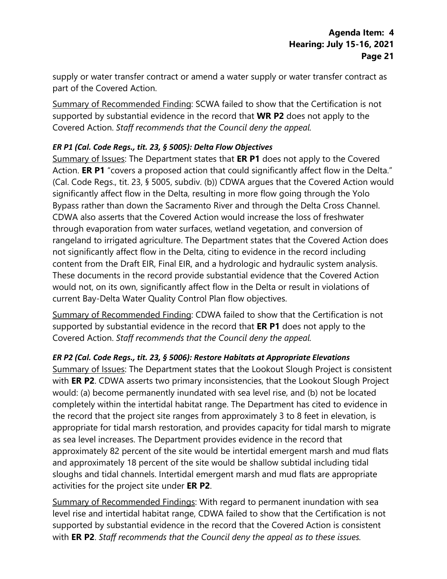supply or water transfer contract or amend a water supply or water transfer contract as part of the Covered Action.

Summary of Recommended Finding: SCWA failed to show that the Certification is not supported by substantial evidence in the record that **WR P2** does not apply to the Covered Action. *Staff recommends that the Council deny the appeal.*

### *ER P1 (Cal. Code Regs., tit. 23, § 5005): Delta Flow Objectives*

Summary of Issues: The Department states that **ER P1** does not apply to the Covered Action. **ER P1** "covers a proposed action that could significantly affect flow in the Delta." (Cal. Code Regs., tit. 23, § 5005, subdiv. (b)) CDWA argues that the Covered Action would significantly affect flow in the Delta, resulting in more flow going through the Yolo Bypass rather than down the Sacramento River and through the Delta Cross Channel. CDWA also asserts that the Covered Action would increase the loss of freshwater through evaporation from water surfaces, wetland vegetation, and conversion of rangeland to irrigated agriculture. The Department states that the Covered Action does not significantly affect flow in the Delta, citing to evidence in the record including content from the Draft EIR, Final EIR, and a hydrologic and hydraulic system analysis. These documents in the record provide substantial evidence that the Covered Action would not, on its own, significantly affect flow in the Delta or result in violations of current Bay-Delta Water Quality Control Plan flow objectives.

Summary of Recommended Finding: CDWA failed to show that the Certification is not supported by substantial evidence in the record that **ER P1** does not apply to the Covered Action. *Staff recommends that the Council deny the appeal.*

### *ER P2 (Cal. Code Regs., tit. 23, § 5006): Restore Habitats at Appropriate Elevations*

Summary of Issues: The Department states that the Lookout Slough Project is consistent with **ER P2**. CDWA asserts two primary inconsistencies, that the Lookout Slough Project would: (a) become permanently inundated with sea level rise, and (b) not be located completely within the intertidal habitat range. The Department has cited to evidence in the record that the project site ranges from approximately 3 to 8 feet in elevation, is appropriate for tidal marsh restoration, and provides capacity for tidal marsh to migrate as sea level increases. The Department provides evidence in the record that approximately 82 percent of the site would be intertidal emergent marsh and mud flats and approximately 18 percent of the site would be shallow subtidal including tidal sloughs and tidal channels. Intertidal emergent marsh and mud flats are appropriate activities for the project site under **ER P2**.

Summary of Recommended Findings: With regard to permanent inundation with sea level rise and intertidal habitat range, CDWA failed to show that the Certification is not supported by substantial evidence in the record that the Covered Action is consistent with **ER P2**. *Staff recommends that the Council deny the appeal as to these issues.*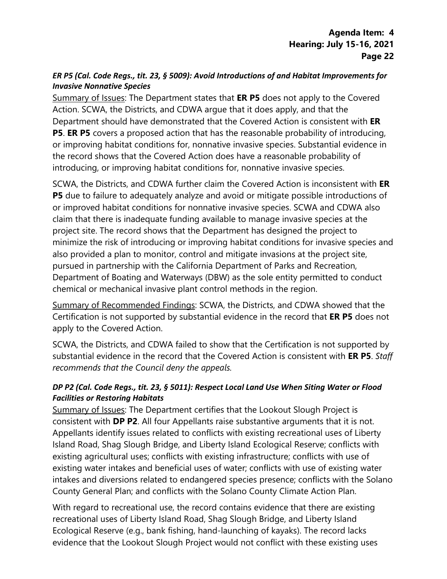### *ER P5 (Cal. Code Regs., tit. 23, § 5009): Avoid Introductions of and Habitat Improvements for Invasive Nonnative Species*

Summary of Issues: The Department states that **ER P5** does not apply to the Covered Action. SCWA, the Districts, and CDWA argue that it does apply, and that the Department should have demonstrated that the Covered Action is consistent with **ER P5. ER P5** covers a proposed action that has the reasonable probability of introducing, or improving habitat conditions for, nonnative invasive species. Substantial evidence in the record shows that the Covered Action does have a reasonable probability of introducing, or improving habitat conditions for, nonnative invasive species.

SCWA, the Districts, and CDWA further claim the Covered Action is inconsistent with **ER P5** due to failure to adequately analyze and avoid or mitigate possible introductions of or improved habitat conditions for nonnative invasive species. SCWA and CDWA also claim that there is inadequate funding available to manage invasive species at the project site. The record shows that the Department has designed the project to minimize the risk of introducing or improving habitat conditions for invasive species and also provided a plan to monitor, control and mitigate invasions at the project site, pursued in partnership with the California Department of Parks and Recreation, Department of Boating and Waterways (DBW) as the sole entity permitted to conduct chemical or mechanical invasive plant control methods in the region.

Summary of Recommended Findings: SCWA, the Districts, and CDWA showed that the Certification is not supported by substantial evidence in the record that **ER P5** does not apply to the Covered Action.

SCWA, the Districts, and CDWA failed to show that the Certification is not supported by substantial evidence in the record that the Covered Action is consistent with **ER P5**. *Staff recommends that the Council deny the appeals.*

### *DP P2 (Cal. Code Regs., tit. 23, § 5011): Respect Local Land Use When Siting Water or Flood Facilities or Restoring Habitats*

Summary of Issues: The Department certifies that the Lookout Slough Project is consistent with **DP P2**. All four Appellants raise substantive arguments that it is not. Appellants identify issues related to conflicts with existing recreational uses of Liberty Island Road, Shag Slough Bridge, and Liberty Island Ecological Reserve; conflicts with existing agricultural uses; conflicts with existing infrastructure; conflicts with use of existing water intakes and beneficial uses of water; conflicts with use of existing water intakes and diversions related to endangered species presence; conflicts with the Solano County General Plan; and conflicts with the Solano County Climate Action Plan.

With regard to recreational use, the record contains evidence that there are existing recreational uses of Liberty Island Road, Shag Slough Bridge, and Liberty Island Ecological Reserve (e.g., bank fishing, hand-launching of kayaks). The record lacks evidence that the Lookout Slough Project would not conflict with these existing uses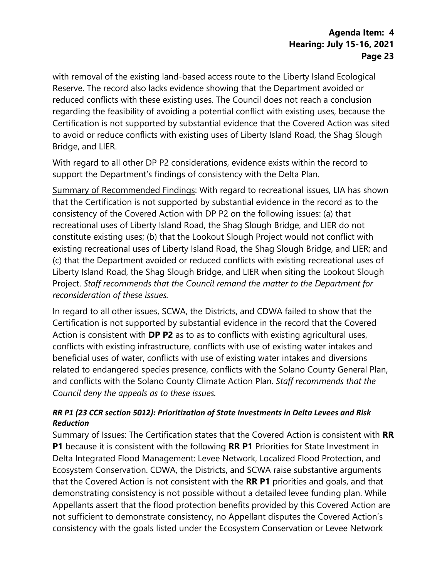with removal of the existing land-based access route to the Liberty Island Ecological Reserve. The record also lacks evidence showing that the Department avoided or reduced conflicts with these existing uses. The Council does not reach a conclusion regarding the feasibility of avoiding a potential conflict with existing uses, because the Certification is not supported by substantial evidence that the Covered Action was sited to avoid or reduce conflicts with existing uses of Liberty Island Road, the Shag Slough Bridge, and LIER.

With regard to all other DP P2 considerations, evidence exists within the record to support the Department's findings of consistency with the Delta Plan.

Summary of Recommended Findings: With regard to recreational issues, LIA has shown that the Certification is not supported by substantial evidence in the record as to the consistency of the Covered Action with DP P2 on the following issues: (a) that recreational uses of Liberty Island Road, the Shag Slough Bridge, and LIER do not constitute existing uses; (b) that the Lookout Slough Project would not conflict with existing recreational uses of Liberty Island Road, the Shag Slough Bridge, and LIER; and (c) that the Department avoided or reduced conflicts with existing recreational uses of Liberty Island Road, the Shag Slough Bridge, and LIER when siting the Lookout Slough Project. *Staff recommends that the Council remand the matter to the Department for reconsideration of these issues.* 

In regard to all other issues, SCWA, the Districts, and CDWA failed to show that the Certification is not supported by substantial evidence in the record that the Covered Action is consistent with **DP P2** as to as to conflicts with existing agricultural uses, conflicts with existing infrastructure, conflicts with use of existing water intakes and beneficial uses of water, conflicts with use of existing water intakes and diversions related to endangered species presence, conflicts with the Solano County General Plan, and conflicts with the Solano County Climate Action Plan. *Staff recommends that the Council deny the appeals as to these issues.*

### *RR P1 (23 CCR section 5012): Prioritization of State Investments in Delta Levees and Risk Reduction*

Summary of Issues: The Certification states that the Covered Action is consistent with **RR P1** because it is consistent with the following **RR P1** Priorities for State Investment in Delta Integrated Flood Management: Levee Network, Localized Flood Protection, and Ecosystem Conservation. CDWA, the Districts, and SCWA raise substantive arguments that the Covered Action is not consistent with the **RR P1** priorities and goals, and that demonstrating consistency is not possible without a detailed levee funding plan. While Appellants assert that the flood protection benefits provided by this Covered Action are not sufficient to demonstrate consistency, no Appellant disputes the Covered Action's consistency with the goals listed under the Ecosystem Conservation or Levee Network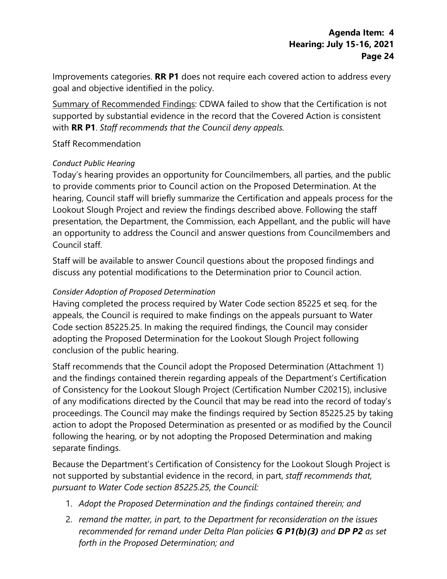Improvements categories. **RR P1** does not require each covered action to address every goal and objective identified in the policy.

Summary of Recommended Findings: CDWA failed to show that the Certification is not supported by substantial evidence in the record that the Covered Action is consistent with **RR P1**. *Staff recommends that the Council deny appeals.* 

### Staff Recommendation

### *Conduct Public Hearing*

Today's hearing provides an opportunity for Councilmembers, all parties, and the public to provide comments prior to Council action on the Proposed Determination. At the hearing, Council staff will briefly summarize the Certification and appeals process for the Lookout Slough Project and review the findings described above. Following the staff presentation, the Department, the Commission, each Appellant, and the public will have an opportunity to address the Council and answer questions from Councilmembers and Council staff.

Staff will be available to answer Council questions about the proposed findings and discuss any potential modifications to the Determination prior to Council action.

### *Consider Adoption of Proposed Determination*

Having completed the process required by Water Code section 85225 et seq. for the appeals, the Council is required to make findings on the appeals pursuant to Water Code section 85225.25. In making the required findings, the Council may consider adopting the Proposed Determination for the Lookout Slough Project following conclusion of the public hearing.

Staff recommends that the Council adopt the Proposed Determination (Attachment 1) and the findings contained therein regarding appeals of the Department's Certification of Consistency for the Lookout Slough Project (Certification Number C20215), inclusive of any modifications directed by the Council that may be read into the record of today's proceedings. The Council may make the findings required by Section 85225.25 by taking action to adopt the Proposed Determination as presented or as modified by the Council following the hearing, or by not adopting the Proposed Determination and making separate findings.

Because the Department's Certification of Consistency for the Lookout Slough Project is not supported by substantial evidence in the record, in part, *staff recommends that, pursuant to Water Code section 85225.25, the Council:* 

- 1. *Adopt the Proposed Determination and the findings contained therein; and*
- 2. *remand the matter, in part, to the Department for reconsideration on the issues recommended for remand under Delta Plan policies G P1(b)(3) and DP P2 as set forth in the Proposed Determination; and*